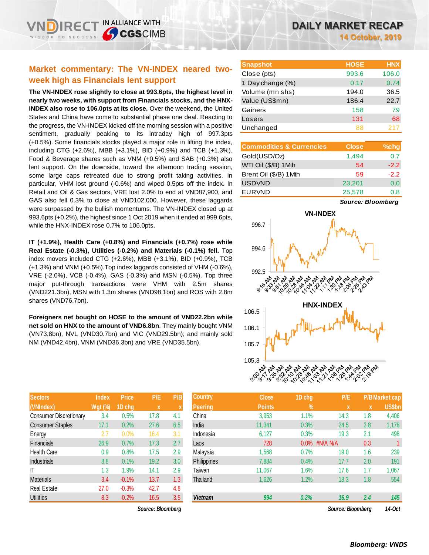# **Market commentary: The VN-INDEX neared twoweek high as Financials lent support**

**The VN-INDEX rose slightly to close at 993.6pts, the highest level in nearly two weeks, with support from Financials stocks, and the HNX-INDEX also rose to 106.0pts at its close.** Over the weekend, the United States and China have come to substantial phase one deal. Reacting to the progress, the VN-INDEX kicked off the morning session with a positive sentiment, gradually peaking to its intraday high of 997.3pts (+0.5%). Some financials stocks played a major role in lifting the index, including CTG (+2.6%), MBB (+3.1%), BID (+0.9%) and TCB (+1.3%). Food & Beverage shares such as VNM (+0.5%) and SAB (+0.3%) also lent support. On the downside, toward the afternoon trading session, some large caps retreated due to strong profit taking activities. In particular, VHM lost ground (-0.6%) and wiped 0.5pts off the index. In Retail and Oil & Gas sectors, VRE lost 2.0% to end at VND87,900, and GAS also fell 0.3% to close at VND102,000. However, these laggards were surpassed by the bullish momentums. The VN-INDEX closed up at 993.6pts (+0.2%), the highest since 1 Oct 2019 when it ended at 999.6pts, while the HNX-INDEX rose 0.7% to 106.0pts.

**IT (+1.9%), Health Care (+0.8%) and Financials (+0.7%) rose while Real Estate (-0.3%), Utilities (-0.2%) and Materials (-0.1%) fell.** Top index movers included CTG (+2.6%), MBB (+3.1%), BID (+0.9%), TCB (+1.3%) and VNM (+0.5%).Top index laggards consisted of VHM (-0.6%), VRE (-2.0%), VCB (-0.4%), GAS (-0.3%) and MSN (-0.5%). Top three major put-through transactions were VHM with 2.5m shares (VND221.3bn), MSN with 1.3m shares (VND98.1bn) and ROS with 2.8m shares (VND76.7bn).

**Foreigners net bought on HOSE to the amount of VND22.2bn while net sold on HNX to the amount of VND6.8bn**. They mainly bought VNM (VN73.8bn), NVL (VND30.7bn) and VIC (VND29.5bn); and mainly sold NM (VND42.4bn), VNM (VND36.3bn) and VRE (VND35.5bn).

| <b>Sectors</b>                | <b>Index</b>   | <b>Price</b> | P/E  | P/B |
|-------------------------------|----------------|--------------|------|-----|
| (VNIndex)                     | <b>Wgt (%)</b> | 1D chg       | X    | X   |
| <b>Consumer Discretionary</b> | 3.4            | 0.5%         | 17.8 | 4.1 |
| <b>Consumer Staples</b>       | 17.1           | 0.2%         | 27.6 | 6.5 |
| Energy                        | 2.7            | 0.0%         | 16.4 | 3.1 |
| <b>Financials</b>             | 26.9           | 0.7%         | 17.3 | 2.7 |
| Health Care                   | 0.9            | 0.8%         | 17.5 | 2.9 |
| <b>Industrials</b>            | 8.8            | 0.1%         | 19.2 | 3.0 |
| IT                            | 1.3            | 1.9%         | 14.1 | 2.9 |
| <b>Materials</b>              | 3.4            | $-0.1%$      | 13.7 | 1.3 |
| <b>Real Estate</b>            | 27.0           | $-0.3%$      | 42.7 | 4.8 |
| <b>Utilities</b>              | 8.3            | $-0.2%$      | 16.5 | 3.5 |

 $Source: Bloomberg$ 

**14 October, 2019**

| <b>Snapshot</b>  | <b>HOSE</b> | <b>HNX</b> |
|------------------|-------------|------------|
| Close (pts)      | 993.6       | 106.0      |
| 1 Day change (%) | 0.17        | 0.74       |
| Volume (mn shs)  | 194.0       | 36.5       |
| Value (US\$mn)   | 186.4       | 22.7       |
| Gainers          | 158         | 79         |
| Losers           | 131         | 68         |
| Unchanged        | 88          | 217        |

| <b>Commodities &amp; Currencies</b> | <b>Close</b> | $%$ chg |
|-------------------------------------|--------------|---------|
| Gold(USD/Oz)                        | 1,494        | 0.7     |
| WTI Oil (\$/B) 1Mth                 | 54           | $-2.2$  |
| Brent Oil (\$/B) 1Mth               | 59           | $-2.2$  |
| <b>USDVND</b>                       | 23,201       | 0.0     |
| <b>EURVND</b>                       | 25,578       | 0.8     |

*Source: Bloomberg*



| <b>Sectors</b>                | <b>Index</b>   | <b>Price</b> | P/E               | P/B              | <b>Country</b> | <b>Close</b>  | 1D chg        | P/E               |     | <b>P/B Market cap</b> |
|-------------------------------|----------------|--------------|-------------------|------------------|----------------|---------------|---------------|-------------------|-----|-----------------------|
| (VNIndex)                     | <b>Wgt (%)</b> | 1D chg       | $\mathbf x$       |                  | <b>Peering</b> | <b>Points</b> | $\frac{9}{6}$ | X                 | X   | <b>US\$bn</b>         |
| <b>Consumer Discretionary</b> | 3.4            | 0.5%         | 17.8              | 4.1              | China          | 3,953         | 1.1%          | 14.3              | 1.8 | 4,406                 |
| <b>Consumer Staples</b>       | 17.1           | 0.2%         | 27.6              | 6.5              | India          | 11,341        | 0.3%          | 24.5              | 2.8 | 1,178                 |
| Energy                        | 2.7            | 0.0%         | 16.4              | 3.1              | Indonesia      | 6,127         | 0.3%          | 19.3              | 2.1 | 498                   |
| <b>Financials</b>             | 26.9           | 0.7%         | 17.3              | 2.7              | Laos           | 728           | 0.0% #N/A N/A |                   | 0.3 |                       |
| <b>Health Care</b>            | 0.9            | 0.8%         | 17.5              | 2.9              | Malaysia       | 1,568         | 0.7%          | 19.0              | 1.6 | 239                   |
| <b>Industrials</b>            | 8.8            | 0.1%         | 19.2              | 3.0 <sub>2</sub> | Philippines    | 7,884         | 0.4%          | 17.7              | 2.0 | 191                   |
| IΤ                            | 1.3            | 1.9%         | 14.1              | 2.9              | Taiwan         | 11,067        | 1.6%          | 17.6              | 1.7 | 1,067                 |
| <b>Materials</b>              | 3.4            | $-0.1%$      | 13.7              | 1.3 <sub>2</sub> | Thailand       | 1,626         | 1.2%          | 18.3              | 1.8 | 554                   |
| Real Estate                   | 27.0           | $-0.3%$      | 42.7              | 4.8              |                |               |               |                   |     |                       |
| Utilities                     | 8.3            | $-0.2%$      | 16.5              | 3.5              | <b>Vietnam</b> | 994           | 0.2%          | 16.9              | 2.4 | 145                   |
|                               |                |              | Source: Bloombera |                  |                |               |               | Source: Bloombera |     | 14-Oct                |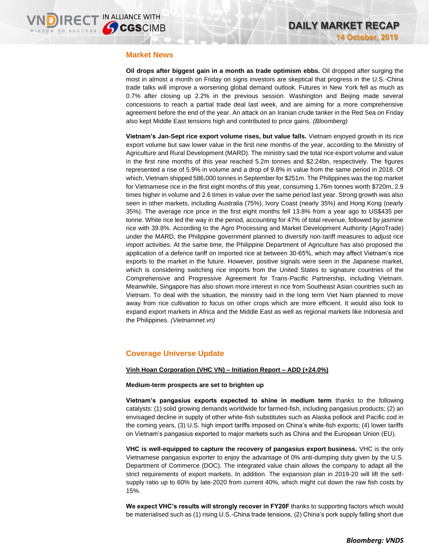## **Market News**

**Oil drops after biggest gain in a month as trade optimism ebbs.** Oil dropped after surging the most in almost a month on Friday on signs investors are skeptical that progress in the U.S.-China trade talks will improve a worsening global demand outlook. Futures in New York fell as much as 0.7% after closing up 2.2% in the previous session. Washington and Beijing made several concessions to reach a partial trade deal last week, and are aiming for a more comprehensive agreement before the end of the year. An attack on an Iranian crude tanker in the Red Sea on Friday also kept Middle East tensions high and contributed to price gains. *(Bloomberg)*

**Vietnam's Jan-Sept rice export volume rises, but value falls.** Vietnam enjoyed growth in its rice export volume but saw lower value in the first nine months of the year, according to the Ministry of Agriculture and Rural Development (MARD). The ministry said the total rice export volume and value in the first nine months of this year reached 5.2m tonnes and \$2.24bn, respectively. The figures represented a rise of 5.9% in volume and a drop of 9.8% in value from the same period in 2018. Of which, Vietnam shipped 586,000 tonnes in September for \$251m. The Philippines was the top market for Vietnamese rice in the first eight months of this year, consuming 1.76m tonnes worth \$720m, 2.9 times higher in volume and 2.6 times in value over the same period last year. Strong growth was also seen in other markets, including Australia (75%), Ivory Coast (nearly 35%) and Hong Kong (nearly 35%). The average rice price in the first eight months fell 13.8% from a year ago to US\$435 per tonne. White rice led the way in the period, accounting for 47% of total revenue, followed by jasmine rice with 39.8%. According to the Agro Processing and Market Development Authority (AgroTrade) under the MARD, the Philippine government planned to diversify non-tariff measures to adjust rice import activities. At the same time, the Philippine Department of Agriculture has also proposed the application of a defence tariff on imported rice at between 30-65%, which may affect Vietnam's rice exports to the market in the future. However, positive signals were seen in the Japanese market, which is considering switching rice imports from the United States to signature countries of the Comprehensive and Progressive Agreement for Trans-Pacific Partnership, including Vietnam. Meanwhile, Singapore has also shown more interest in rice from Southeast Asian countries such as Vietnam. To deal with the situation, the ministry said in the long term Viet Nam planned to move away from rice cultivation to focus on other crops which are more efficient. It would also look to expand export markets in Africa and the Middle East as well as regional markets like Indonesia and the Philippines. *(Vietnamnet.vn)*

## **Coverage Universe Update**

### **Vinh Hoan Corporation (VHC VN) – Initiation Report – ADD (+24.0%)**

### **Medium-term prospects are set to brighten up**

**Vietnam's pangasius exports expected to shine in medium term** thanks to the following catalysts: (1) solid growing demands worldwide for farmed-fish, including pangasius products; (2) an envisaged decline in supply of other white-fish substitutes such as Alaska pollock and Pacific cod in the coming years, (3) U.S. high import tariffs imposed on China's white-fish exports; (4) lower tariffs on Vietnam's pangasius exported to major markets such as China and the European Union (EU).

**VHC is well-equipped to capture the recovery of pangasius export business.** VHC is the only Vietnamese pangasius exporter to enjoy the advantage of 0% anti-dumping duty given by the U.S. Department of Commerce (DOC). The integrated value chain allows the company to adapt all the strict requirements of export markets. In addition. The expansion plan in 2019-20 will lift the selfsupply ratio up to 60% by late-2020 from current 40%, which might cut down the raw fish costs by 15%.

**We expect VHC's results will strongly recover in FY20F** thanks to supporting factors which would be materialised such as (1) rising U.S.-China trade tensions, (2) China's pork supply falling short due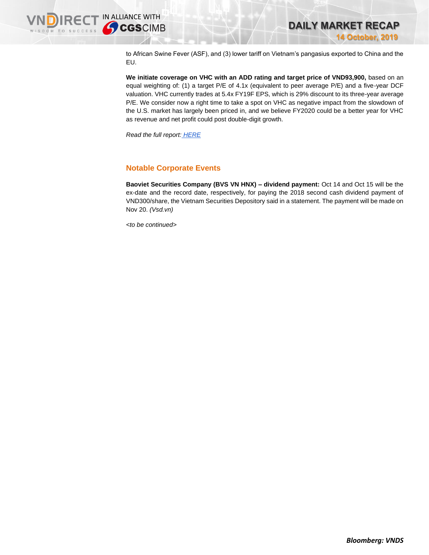

to African Swine Fever (ASF), and (3) lower tariff on Vietnam's pangasius exported to China and the EU.

**We initiate coverage on VHC with an ADD rating and target price of VND93,900,** based on an equal weighting of: (1) a target P/E of 4.1x (equivalent to peer average P/E) and a five-year DCF valuation. VHC currently trades at 5.4x FY19F EPS, which is 29% discount to its three-year average P/E. We consider now a right time to take a spot on VHC as negative impact from the slowdown of the U.S. market has largely been priced in, and we believe FY2020 could be a better year for VHC as revenue and net profit could post double-digit growth.

*Read the full report: [HERE](https://apc01.safelinks.protection.outlook.com/?url=https%3A%2F%2Fnhanha-public-api.vndirect.com.vn%2Fclick%2FOGE0ODlmZDA2ODYwMjZlMjAxNjg5OGJiOGM4YjMxODQ%3D%2FM2VmY2Q0Njc0MTE1NDRjYWExMzFlYWZkYzk5MTNhNjY%3D%2F3efcd467411544caa131eafdc9913a66-VHC_Initiation_%252020191014.pdf%2FcmVzZWFyY2hAdm5kaXJlY3QuY29tLnZu%2FMTA0MTM%3D&data=01%7C01%7Ctrung.phanthanh%40vndirect.com.vn%7C70b3b32ffce44dc1088d08d75077ed9e%7C205877dd7b5242a0869607cbd63de0f4%7C0&sdata=ptjHfWA2W9hSGZYkSpoDwl6s79cXFvIpQ52zwzG7F2w%3D&reserved=0)*

# **Notable Corporate Events**

**Baoviet Securities Company (BVS VN HNX) – dividend payment:** Oct 14 and Oct 15 will be the ex-date and the record date, respectively, for paying the 2018 second cash dividend payment of VND300/share, the Vietnam Securities Depository said in a statement. The payment will be made on Nov 20. *(Vsd.vn)*

*<to be continued>*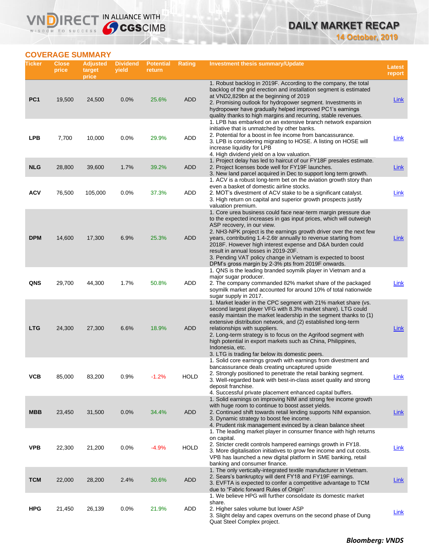# **DAILY MARKET RECAP 14 October, 2019**

# **COVERAGE SUMMARY**

WISDOM TO SUCCESS

**VNDIRECT IN ALLIANCE WITH** 

| Ticker          | <b>Close</b><br>price | <b>Adjusted</b><br>target<br>price | <b>Dividend</b><br>yield | <b>Potential</b><br>return | <b>Rating</b> | Investment thesis summary/Update                                                                                                                                                                                                                                                                                                                                                                                                                                                                                                       | <b>Latest</b><br>report |
|-----------------|-----------------------|------------------------------------|--------------------------|----------------------------|---------------|----------------------------------------------------------------------------------------------------------------------------------------------------------------------------------------------------------------------------------------------------------------------------------------------------------------------------------------------------------------------------------------------------------------------------------------------------------------------------------------------------------------------------------------|-------------------------|
| PC <sub>1</sub> | 19,500                | 24,500                             | 0.0%                     | 25.6%                      | <b>ADD</b>    | 1. Robust backlog in 2019F. According to the company, the total<br>backlog of the grid erection and installation segment is estimated<br>at VND2,829bn at the beginning of 2019<br>2. Promising outlook for hydropower segment. Investments in<br>hydropower have gradually helped improved PC1's earnings<br>quality thanks to high margins and recurring, stable revenues.                                                                                                                                                           | <b>Link</b>             |
| LPB             | 7,700                 | 10,000                             | 0.0%                     | 29.9%                      | ADD           | 1. LPB has embarked on an extensive branch network expansion<br>initiative that is unmatched by other banks.<br>2. Potential for a boost in fee income from bancassurance.<br>3. LPB is considering migrating to HOSE. A listing on HOSE will<br>increase liquidity for LPB<br>4. High dividend yield on a low valuation.                                                                                                                                                                                                              | Link                    |
| <b>NLG</b>      | 28,800                | 39,600                             | 1.7%                     | 39.2%                      | ADD           | 1. Project delay has led to haircut of our FY18F presales estimate.<br>2. Project licenses bode well for FY19F launches.<br>3. New land parcel acquired in Dec to support long term growth.                                                                                                                                                                                                                                                                                                                                            | <b>Link</b>             |
| ACV             | 76,500                | 105,000                            | 0.0%                     | 37.3%                      | <b>ADD</b>    | 1. ACV is a robust long-term bet on the aviation growth story than<br>even a basket of domestic airline stocks.<br>2. MOT's divestment of ACV stake to be a significant catalyst.<br>3. High return on capital and superior growth prospects justify<br>valuation premium.                                                                                                                                                                                                                                                             | <b>Link</b>             |
| <b>DPM</b>      | 14,600                | 17,300                             | 6.9%                     | 25.3%                      | <b>ADD</b>    | 1. Core urea business could face near-term margin pressure due<br>to the expected increases in gas input prices, which will outweigh<br>ASP recovery, in our view.<br>2. NH3-NPK project is the earnings growth driver over the next few<br>years, contributing 1.4-2.6tr annually to revenue starting from<br>2018F. However high interest expense and D&A burden could<br>result in annual losses in 2019-20F.<br>3. Pending VAT policy change in Vietnam is expected to boost<br>DPM's gross margin by 2-3% pts from 2019F onwards. | Link                    |
| QNS             | 29,700                | 44,300                             | 1.7%                     | 50.8%                      | ADD           | 1. QNS is the leading branded soymilk player in Vietnam and a<br>major sugar producer.<br>2. The company commanded 82% market share of the packaged<br>soymilk market and accounted for around 10% of total nationwide<br>sugar supply in 2017.                                                                                                                                                                                                                                                                                        | Link                    |
| <b>LTG</b>      | 24,300                | 27,300                             | 6.6%                     | 18.9%                      | ADD           | 1. Market leader in the CPC segment with 21% market share (vs.<br>second largest player VFG with 8.3% market share). LTG could<br>easily maintain the market leadership in the segment thanks to (1)<br>extensive distribution network, and (2) established long-term<br>relationships with suppliers.<br>2. Long-term strategy is to focus on the Agrifood segment with<br>high potential in export markets such as China, Philippines,<br>Indonesia, etc.<br>3. LTG is trading far below its domestic peers.                         | Link                    |
| ѴСВ             | 85,000                | 83,200                             | 0.9%                     | $-1.2%$                    | <b>HOLD</b>   | 1. Solid core earnings growth with earnings from divestment and<br>bancassurance deals creating uncaptured upside<br>2. Strongly positioned to penetrate the retail banking segment.<br>3. Well-regarded bank with best-in-class asset quality and strong<br>deposit franchise.<br>4. Successful private placement enhanced capital buffers.                                                                                                                                                                                           | <u>Link</u>             |
| <b>MBB</b>      | 23,450                | 31,500                             | 0.0%                     | 34.4%                      | <b>ADD</b>    | 1. Solid earnings on improving NIM and strong fee income growth<br>with huge room to continue to boost asset yields.<br>2. Continued shift towards retail lending supports NIM expansion.<br>3. Dynamic strategy to boost fee income.<br>4. Prudent risk management evinced by a clean balance sheet                                                                                                                                                                                                                                   | <b>Link</b>             |
| <b>VPB</b>      | 22,300                | 21,200                             | 0.0%                     | $-4.9%$                    | <b>HOLD</b>   | 1. The leading market player in consumer finance with high returns<br>on capital.<br>2. Stricter credit controls hampered earnings growth in FY18.<br>3. More digitalisation initiatives to grow fee income and cut costs.<br>VPB has launched a new digital platform in SME banking, retail<br>banking and consumer finance.                                                                                                                                                                                                          | <u>Link</u>             |
| <b>TCM</b>      | 22,000                | 28,200                             | 2.4%                     | 30.6%                      | <b>ADD</b>    | 1. The only vertically-integrated textile manufacturer in Vietnam.<br>2. Sears's bankruptcy will dent FY18 and FY19F earnings.<br>3. EVFTA is expected to confer a competitive advantage to TCM<br>due to "Fabric forward Rules of Origin"                                                                                                                                                                                                                                                                                             | <b>Link</b>             |
| <b>HPG</b>      | 21,450                | 26,139                             | 0.0%                     | 21.9%                      | ADD           | 1. We believe HPG will further consolidate its domestic market<br>share.<br>2. Higher sales volume but lower ASP<br>3. Slight delay and capex overruns on the second phase of Dung<br>Quat Steel Complex project.                                                                                                                                                                                                                                                                                                                      | <b>Link</b>             |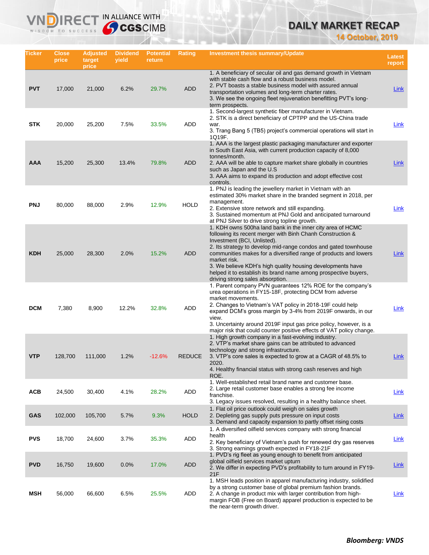# **DAILY MARKET RECAP**

**14 October, 2019**

| Ticker     | <b>Close</b><br>price | <b>Adjusted</b><br>target<br>price | <b>Dividend</b><br>yield | <b>Potential</b><br>return | Rating        | <b>Investment thesis summary/Update</b>                                                                                                                                                                                                                                                                                                                                                                                                                                             | <b>Latest</b><br>report |
|------------|-----------------------|------------------------------------|--------------------------|----------------------------|---------------|-------------------------------------------------------------------------------------------------------------------------------------------------------------------------------------------------------------------------------------------------------------------------------------------------------------------------------------------------------------------------------------------------------------------------------------------------------------------------------------|-------------------------|
| <b>PVT</b> | 17,000                | 21,000                             | 6.2%                     | 29.7%                      | <b>ADD</b>    | 1. A beneficiary of secular oil and gas demand growth in Vietnam<br>with stable cash flow and a robust business model.<br>2. PVT boasts a stable business model with assured annual<br>transportation volumes and long-term charter rates.<br>3. We see the ongoing fleet rejuvenation benefitting PVT's long-<br>term prospects.                                                                                                                                                   | Link                    |
| <b>STK</b> | 20,000                | 25,200                             | 7.5%                     | 33.5%                      | ADD           | 1. Second-largest synthetic fiber manufacturer in Vietnam.<br>2. STK is a direct beneficiary of CPTPP and the US-China trade<br>war.<br>3. Trang Bang 5 (TB5) project's commercial operations will start in<br>1Q19F.                                                                                                                                                                                                                                                               | Link                    |
| <b>AAA</b> | 15,200                | 25,300                             | 13.4%                    | 79.8%                      | <b>ADD</b>    | 1. AAA is the largest plastic packaging manufacturer and exporter<br>in South East Asia, with current production capacity of 8,000<br>tonnes/month.<br>2. AAA will be able to capture market share globally in countries<br>such as Japan and the U.S.<br>3. AAA aims to expand its production and adopt effective cost<br>controls.                                                                                                                                                | Link                    |
| <b>PNJ</b> | 80,000                | 88,000                             | 2.9%                     | 12.9%                      | <b>HOLD</b>   | 1. PNJ is leading the jewellery market in Vietnam with an<br>estimated 30% market share in the branded segment in 2018, per<br>management.<br>2. Extensive store network and still expanding.<br>3. Sustained momentum at PNJ Gold and anticipated turnaround<br>at PNJ Silver to drive strong topline growth.                                                                                                                                                                      | <b>Link</b>             |
| <b>KDH</b> | 25,000                | 28,300                             | 2.0%                     | 15.2%                      | <b>ADD</b>    | 1. KDH owns 500ha land bank in the inner city area of HCMC<br>following its recent merger with Binh Chanh Construction &<br>Investment (BCI, Unlisted).<br>2. Its strategy to develop mid-range condos and gated townhouse<br>communities makes for a diversified range of products and lowers<br>market risk.<br>3. We believe KDH's high quality housing developments have<br>helped it to establish its brand name among prospective buyers,<br>driving strong sales absorption. | Link                    |
| <b>DCM</b> | 7,380                 | 8,900                              | 12.2%                    | 32.8%                      | ADD           | 1. Parent company PVN guarantees 12% ROE for the company's<br>urea operations in FY15-18F, protecting DCM from adverse<br>market movements.<br>2. Changes to Vietnam's VAT policy in 2018-19F could help<br>expand DCM's gross margin by 3-4% from 2019F onwards, in our<br>view.<br>3. Uncertainty around 2019F input gas price policy, however, is a<br>major risk that could counter positive effects of VAT policy change.                                                      | <u>Link</u>             |
| <b>VTP</b> | 128,700               | 111,000                            | 1.2%                     | $-12.6%$                   | <b>REDUCE</b> | 1. High growth company in a fast-evolving industry.<br>2. VTP's market share gains can be attributed to advanced<br>technology and strong infrastructure.<br>3. VTP's core sales is expected to grow at a CAGR of 48.5% to<br>2020.<br>4. Healthy financial status with strong cash reserves and high<br>ROE.                                                                                                                                                                       | Link                    |
| <b>ACB</b> | 24,500                | 30,400                             | 4.1%                     | 28.2%                      | ADD           | 1. Well-established retail brand name and customer base.<br>2. Large retail customer base enables a strong fee income<br>franchise.<br>3. Legacy issues resolved, resulting in a healthy balance sheet.                                                                                                                                                                                                                                                                             | Link                    |
| <b>GAS</b> | 102,000               | 105,700                            | 5.7%                     | 9.3%                       | <b>HOLD</b>   | 1. Flat oil price outlook could weigh on sales growth<br>2. Depleting gas supply puts pressure on input costs<br>3. Demand and capacity expansion to partly offset rising costs                                                                                                                                                                                                                                                                                                     | <b>Link</b>             |
| <b>PVS</b> | 18,700                | 24,600                             | 3.7%                     | 35.3%                      | ADD           | 1. A diversified oilfield services company with strong financial<br>health<br>2. Key beneficiary of Vietnam's push for renewed dry gas reserves<br>3. Strong earnings growth expected in FY18-21F                                                                                                                                                                                                                                                                                   | Link                    |
| <b>PVD</b> | 16,750                | 19,600                             | 0.0%                     | 17.0%                      | <b>ADD</b>    | 1. PVD's rig fleet as young enough to benefit from anticipated<br>global oilfield services market upturn<br>2. We differ in expecting PVD's profitability to turn around in FY19-<br>21F                                                                                                                                                                                                                                                                                            | <u>Link</u>             |
| MSH        | 56,000                | 66,600                             | 6.5%                     | 25.5%                      | ADD           | 1. MSH leads position in apparel manufacturing industry, solidified<br>by a strong customer base of global premium fashion brands.<br>2. A change in product mix with larger contribution from high-<br>margin FOB (Free on Board) apparel production is expected to be<br>the near-term growth driver.                                                                                                                                                                             | Link                    |

IN ALLIANCE WITH

VND

 $R<sub>f</sub>$ 

WISDOM TO SUCCESS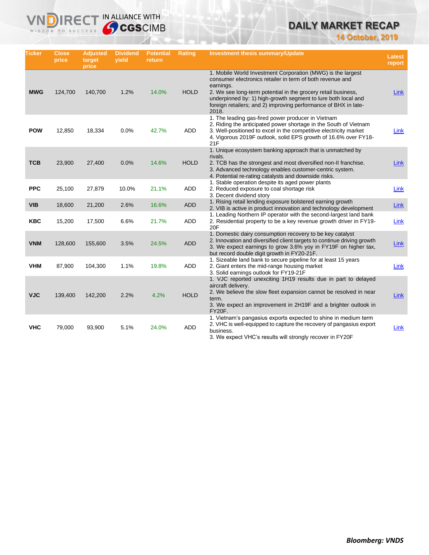# **DAILY MARKET RECAP**

**14 October, 2019**

| <b>Ticker</b> | Close<br>price | <b>Adjusted</b><br>target<br>price | <b>Dividend</b><br>vield | <b>Potential</b><br>return | <b>Rating</b> | <b>Investment thesis summary/Update</b>                                                                                                                                                                                                                                                                                                             | Latest<br>report |
|---------------|----------------|------------------------------------|--------------------------|----------------------------|---------------|-----------------------------------------------------------------------------------------------------------------------------------------------------------------------------------------------------------------------------------------------------------------------------------------------------------------------------------------------------|------------------|
| <b>MWG</b>    | 124,700        | 140,700                            | 1.2%                     | 14.0%                      | <b>HOLD</b>   | 1. Mobile World Investment Corporation (MWG) is the largest<br>consumer electronics retailer in term of both revenue and<br>earnings.<br>2. We see long-term potential in the grocery retail business,<br>underpinned by: 1) high-growth segment to lure both local and<br>foreign retailers; and 2) improving performance of BHX in late-<br>2018. | <b>Link</b>      |
| <b>POW</b>    | 12,850         | 18,334                             | 0.0%                     | 42.7%                      | ADD           | 1. The leading gas-fired power producer in Vietnam<br>2. Riding the anticipated power shortage in the South of Vietnam<br>3. Well-positioned to excel in the competitive electricity market<br>4. Vigorous 2019F outlook, solid EPS growth of 16.6% over FY18-<br>21F                                                                               | Link             |
| <b>TCB</b>    | 23,900         | 27,400                             | 0.0%                     | 14.6%                      | <b>HOLD</b>   | 1. Unique ecosystem banking approach that is unmatched by<br>rivals.<br>2. TCB has the strongest and most diversified non-II franchise.<br>3. Advanced technology enables customer-centric system.<br>4. Potential re-rating catalysts and downside risks.                                                                                          | <b>Link</b>      |
| <b>PPC</b>    | 25,100         | 27,879                             | 10.0%                    | 21.1%                      | <b>ADD</b>    | 1. Stable operation despite its aged power plants<br>2. Reduced exposure to coal shortage risk<br>3. Decent dividend story                                                                                                                                                                                                                          | Link             |
| <b>VIB</b>    | 18,600         | 21,200                             | 2.6%                     | 16.6%                      | <b>ADD</b>    | 1. Rising retail lending exposure bolstered earning growth<br>2. VIB is active in product innovation and technology development                                                                                                                                                                                                                     | Link             |
| <b>KBC</b>    | 15,200         | 17,500                             | 6.6%                     | 21.7%                      | <b>ADD</b>    | 1. Leading Northern IP operator with the second-largest land bank<br>2. Residential property to be a key revenue growth driver in FY19-<br>20F                                                                                                                                                                                                      | Link             |
| <b>VNM</b>    | 128,600        | 155,600                            | 3.5%                     | 24.5%                      | <b>ADD</b>    | 1. Domestic dairy consumption recovery to be key catalyst<br>2. Innovation and diversified client targets to continue driving growth<br>3. We expect earnings to grow 3.6% yoy in FY19F on higher tax,<br>but record double digit growth in FY20-21F.                                                                                               | Link             |
| <b>VHM</b>    | 87,900         | 104,300                            | 1.1%                     | 19.8%                      | <b>ADD</b>    | 1. Sizeable land bank to secure pipeline for at least 15 years<br>2. Giant enters the mid-range housing market<br>3. Solid earnings outlook for FY19-21F                                                                                                                                                                                            | Link             |
| <b>VJC</b>    | 139,400        | 142,200                            | 2.2%                     | 4.2%                       | <b>HOLD</b>   | 1. VJC reported unexciting 1H19 results due in part to delayed<br>aircraft delivery.<br>2. We believe the slow fleet expansion cannot be resolved in near<br>term.<br>3. We expect an improvement in 2H19F and a brighter outlook in<br><b>FY20F.</b>                                                                                               | Link             |
| <b>VHC</b>    | 79,000         | 93,900                             | 5.1%                     | 24.0%                      | ADD           | 1. Vietnam's pangasius exports expected to shine in medium term<br>2. VHC is well-equipped to capture the recovery of pangasius export<br>business.<br>3. We expect VHC's results will strongly recover in FY20F                                                                                                                                    | Link             |

**VNDIRECT IN ALLIANCE WITH**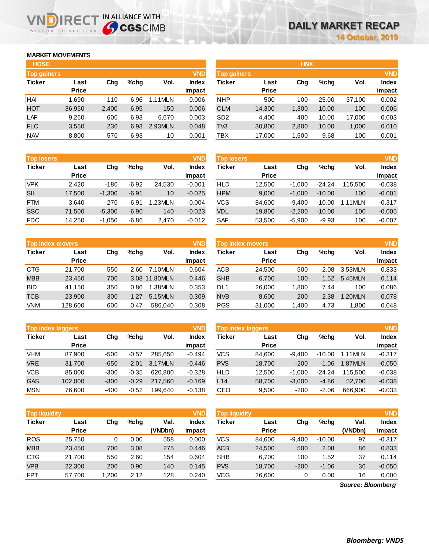## **MARKET MOVEMENTS**

WISDOM TO SUCCESS

n

| <b>HOSE</b>        |              |       |      |         |              |
|--------------------|--------------|-------|------|---------|--------------|
| <b>Top gainers</b> |              |       |      |         | <b>VND</b>   |
| <b>Ticker</b>      | Last         | Cha   | %chq | Vol.    | <b>Index</b> |
|                    | <b>Price</b> |       |      |         | impact       |
| HAI                | 1,690        | 110   | 6.96 | 1.11MLN | 0.006        |
| <b>HOT</b>         | 36,950       | 2,400 | 6.95 | 150     | 0.006        |
| LAF                | 9,260        | 600   | 6.93 | 6,670   | 0.003        |
| <b>FLC</b>         | 3,550        | 230   | 6.93 | 2.93MLN | 0.048        |
| <b>NAV</b>         | 8,800        | 570   | 6.93 | 10      | 0.001        |

**IRECT IN ALLIANCE WITH** 

| <b>Top losers</b> |              |          |         |         | <b>VND</b>   |
|-------------------|--------------|----------|---------|---------|--------------|
| <b>Ticker</b>     | Last         | Cha      | %chq    | Vol.    | <b>Index</b> |
|                   | <b>Price</b> |          |         |         | impact       |
| <b>VPK</b>        | 2.420        | $-180$   | $-6.92$ | 24,530  | $-0.001$     |
| SII               | 17,500       | $-1,300$ | $-6.91$ | 10      | $-0.025$     |
| <b>FTM</b>        | 3.640        | $-270$   | $-6.91$ | 1.23MLN | $-0.004$     |
| <b>SSC</b>        | 71,500       | $-5,300$ | $-6.90$ | 140     | $-0.023$     |
| <b>FDC</b>        | 14,250       | $-1,050$ | $-6.86$ | 2,470   | $-0.012$     |

| <b>Top index movers</b> |              |     |         |               |              |  |  |
|-------------------------|--------------|-----|---------|---------------|--------------|--|--|
| <b>Ticker</b>           | Last         | Cha | $%$ chq | Vol.          | <b>Index</b> |  |  |
|                         | <b>Price</b> |     |         |               | impact       |  |  |
| <b>CTG</b>              | 21,700       | 550 | 2.60    | 7.10MLN       | 0.604        |  |  |
| <b>MBB</b>              | 23,450       | 700 |         | 3.08 11.80MLN | 0.446        |  |  |
| <b>BID</b>              | 41,150       | 350 | 0.86    | 1.38MLN       | 0.353        |  |  |
| <b>TCB</b>              | 23,900       | 300 | 1.27    | 5.15MLN       | 0.309        |  |  |
| <b>VNM</b>              | 128,600      | 600 | 0.47    | 586.040       | 0.308        |  |  |

| <b>VND</b><br><b>Top index laggers</b> |              |        |         |         |              |  |  |  |
|----------------------------------------|--------------|--------|---------|---------|--------------|--|--|--|
| <b>Ticker</b>                          | Last         | Cha    | %chq    | Vol.    | <b>Index</b> |  |  |  |
|                                        | <b>Price</b> |        |         |         | impact       |  |  |  |
| <b>VHM</b>                             | 87.900       | $-500$ | $-0.57$ | 285.650 | $-0.494$     |  |  |  |
| <b>VRE</b>                             | 31,700       | $-650$ | $-2.01$ | 3.17MLN | $-0.446$     |  |  |  |
| <b>VCB</b>                             | 85,000       | $-300$ | $-0.35$ | 620.800 | $-0.328$     |  |  |  |
| <b>GAS</b>                             | 102,000      | $-300$ | $-0.29$ | 217,560 | $-0.169$     |  |  |  |
| <b>MSN</b>                             | 76,600       | -400   | $-0.52$ | 199.640 | $-0.138$     |  |  |  |

| <b>VND</b><br><b>Top liquidity</b> |              |       |      |         |              |  |  |
|------------------------------------|--------------|-------|------|---------|--------------|--|--|
| <b>Ticker</b>                      | Last         | Cha   | %chq | Val.    | <b>Index</b> |  |  |
|                                    | <b>Price</b> |       |      | (VNDbn) | impact       |  |  |
| <b>ROS</b>                         | 25,750       | 0     | 0.00 | 558     | 0.000        |  |  |
| <b>MBB</b>                         | 23,450       | 700   | 3.08 | 275     | 0.446        |  |  |
| <b>CTG</b>                         | 21,700       | 550   | 2.60 | 154     | 0.604        |  |  |
| <b>VPB</b>                         | 22,300       | 200   | 0.90 | 140     | 0.145        |  |  |
| <b>FPT</b>                         | 57,700       | 1,200 | 2.12 | 128     | 0.240        |  |  |

| <b>HOSE</b>        |              |       |         |         |              |                    |              | <b>HNX</b> |         |        |              |
|--------------------|--------------|-------|---------|---------|--------------|--------------------|--------------|------------|---------|--------|--------------|
| <b>Top gainers</b> |              |       |         |         | <b>VND</b>   | <b>Top gainers</b> |              | <b>VND</b> |         |        |              |
| <b>Ticker</b>      | Last         | Chg   | $%$ chq | Vol.    | <b>Index</b> | Ticker             | Last         | Chg        | $%$ chg | Vol.   | <b>Index</b> |
|                    | <b>Price</b> |       |         |         | impact       |                    | <b>Price</b> |            |         |        | impact       |
| HAI                | 1.690        | 110   | 6.96    | 1.11MLN | 0.006        | <b>NHP</b>         | 500          | 100        | 25.00   | 37,100 | 0.002        |
| HOT                | 36,950       | 2,400 | 6.95    | 150     | 0.006        | <b>CLM</b>         | 14,300       | 1,300      | 10.00   | 100    | 0.006        |
| LAF                | 9,260        | 600   | 6.93    | 6,670   | 0.003        | SD <sub>2</sub>    | 4,400        | 400        | 10.00   | 17,000 | 0.003        |
| <b>FLC</b>         | 3,550        | 230   | 6.93    | 2.93MLN | 0.048        | TV3                | 30,800       | 2,800      | 10.00   | 1,000  | 0.010        |
| <b>NAV</b>         | 8,800        | 570   | 6.93    | 10      | 0.001        | TBX                | 17,000       | 1,500      | 9.68    | 100    | 0.001        |
|                    |              |       |         |         |              |                    |              |            |         |        |              |

| <b>Top losers</b> |              |          |         |        | <b>VND</b>   | <b>VND</b><br><b>Top losers</b> |              |          |          |           |              |
|-------------------|--------------|----------|---------|--------|--------------|---------------------------------|--------------|----------|----------|-----------|--------------|
| Ticker            | Last         | Chg      | %chq    | Vol.   | <b>Index</b> | Ticker                          | Last         | Chg      | $%$ chq  | Vol.      | <b>Index</b> |
|                   | <b>Price</b> |          |         |        | impact       |                                 | <b>Price</b> |          |          |           | impact       |
| VPK               | 2.420        | $-180$   | $-6.92$ | 24.530 | $-0.001$     | <b>HLD</b>                      | 12,500       | $-1.000$ | $-24.24$ | 115.500   | $-0.038$     |
| SII               | 17,500       | $-1,300$ | $-6.91$ | 10     | $-0.025$     | <b>HPM</b>                      | 9,000        | $-1.000$ | $-10.00$ | 100       | $-0.001$     |
| FTM               | 3.640        | $-270$   | $-6.91$ | .23MLN | $-0.004$     | <b>VCS</b>                      | 84.600       | $-9.400$ | $-10.00$ | $.11$ MLN | $-0.317$     |
| SSC               | 71,500       | $-5,300$ | $-6.90$ | 140    | $-0.023$     | <b>VDL</b>                      | 19,800       | $-2,200$ | $-10.00$ | 100       | $-0.005$     |
| FDC               | 14,250       | $-1,050$ | $-6.86$ | 2,470  | $-0.012$     | SAF                             | 53,500       | $-5,900$ | $-9.93$  | 100       | $-0.007$     |
|                   |              |          |         |        |              |                                 |              |          |          |           |              |

|            | <b>Top index movers</b> |     |         |               | <b>VND</b>             | Top index movers |                      |       |         |         |                 |
|------------|-------------------------|-----|---------|---------------|------------------------|------------------|----------------------|-------|---------|---------|-----------------|
| Ticker     | Last<br><b>Price</b>    | Chg | $%$ chq | Vol.          | <b>Index</b><br>impact | Ticker           | Last<br><b>Price</b> | Chg   | $%$ chq | Vol.    | Index<br>impact |
|            |                         |     |         |               |                        |                  |                      |       |         |         |                 |
| CTG        | 21.700                  | 550 | 2.60    | 7.10MLN       | 0.604                  | ACB              | 24,500               | 500   | 2.08    | 3.53MLN | 0.833           |
| <b>MBB</b> | 23,450                  | 700 |         | 3.08 11.80MLN | 0.446                  | <b>SHB</b>       | 6,700                | 100   | 1.52    | 5.45MLN | 0.114           |
| BID        | 41.150                  | 350 | 0.86    | 1.38MLN       | 0.353                  | DL1              | 26,000               | 1,800 | 7.44    | 100     | 0.086           |
| TCB        | 23,900                  | 300 | 1.27    | 5.15MLN       | 0.309                  | <b>NVB</b>       | 8,600                | 200   | 2.38    | .20MLN  | 0.078           |
| <b>VNM</b> | 128,600                 | 600 | 0.47    | 586.040       | 0.308                  | <b>PGS</b>       | 31,000               | 1.400 | 4.73    | 1.800   | 0.048           |

|            | <b>Top index laggers</b> |        |         |         | <b>VND</b>      | <b>Top index laggers</b> |                      |          |          |         |                        |
|------------|--------------------------|--------|---------|---------|-----------------|--------------------------|----------------------|----------|----------|---------|------------------------|
| Ticker     | Last<br><b>Price</b>     | Chg    | %chq    | Vol.    | Index<br>impact | Ticker                   | Last<br><b>Price</b> | Chg      | $%$ chq  | Vol.    | <b>Index</b><br>impact |
| VHM        | 87.900                   | $-500$ | $-0.57$ | 285.650 | $-0.494$        | <b>VCS</b>               | 84.600               | $-9.400$ | $-10.00$ | 1.11MLN | $-0.317$               |
| <b>VRE</b> | 31,700                   | $-650$ | $-2.01$ | 3.17MLN | $-0.446$        | <b>PVS</b>               | 18,700               | $-200$   | $-1.06$  | 1.87MLN | $-0.050$               |
| VCB        | 85,000                   | $-300$ | $-0.35$ | 620,800 | $-0.328$        | <b>HLD</b>               | 12.500               | $-1.000$ | $-24.24$ | 115.500 | $-0.038$               |
| <b>GAS</b> | 102,000                  | $-300$ | $-0.29$ | 217.560 | $-0.169$        | L14                      | 58,700               | $-3.000$ | $-4.86$  | 52.700  | $-0.038$               |
| MSN        | 76,600                   | $-400$ | $-0.52$ | 199.640 | $-0.138$        | CEO                      | 9,500                | $-200$   | $-2.06$  | 666.900 | $-0.033$               |

|                      |              |       |         |         |              |                      |              |          |          |                   | <b>VND</b>   |  |
|----------------------|--------------|-------|---------|---------|--------------|----------------------|--------------|----------|----------|-------------------|--------------|--|
| <b>Top liquidity</b> |              |       |         |         | <b>VND</b>   | <b>Top liquidity</b> |              |          |          |                   |              |  |
| <b>Ticker</b>        | Last         | Chg   | $%$ chg | Val.    | <b>Index</b> | Ticker               | Last         | Chg      | $%$ chq  | Val.              | <b>Index</b> |  |
|                      | <b>Price</b> |       |         | (VNDbn) | impact       |                      | <b>Price</b> |          |          | (VNDbn)           | impact       |  |
| ROS                  | 25,750       | 0     | 0.00    | 558     | 0.000        | VCS                  | 84,600       | $-9,400$ | $-10.00$ | 97                | $-0.317$     |  |
| <b>MBB</b>           | 23,450       | 700   | 3.08    | 275     | 0.446        | <b>ACB</b>           | 24,500       | 500      | 2.08     | 86                | 0.833        |  |
| CTG                  | 21,700       | 550   | 2.60    | 154     | 0.604        | <b>SHB</b>           | 6,700        | 100      | 1.52     | 37                | 0.114        |  |
| <b>VPB</b>           | 22,300       | 200   | 0.90    | 140     | 0.145        | <b>PVS</b>           | 18,700       | $-200$   | $-1.06$  | 36                | $-0.050$     |  |
| <b>FPT</b>           | 57,700       | 1,200 | 2.12    | 128     | 0.240        | VCG                  | 26,600       | 0        | 0.00     | 16                | 0.000        |  |
|                      |              |       |         |         |              |                      |              |          |          | Source: Bloomberg |              |  |

*Source: Bloomberg*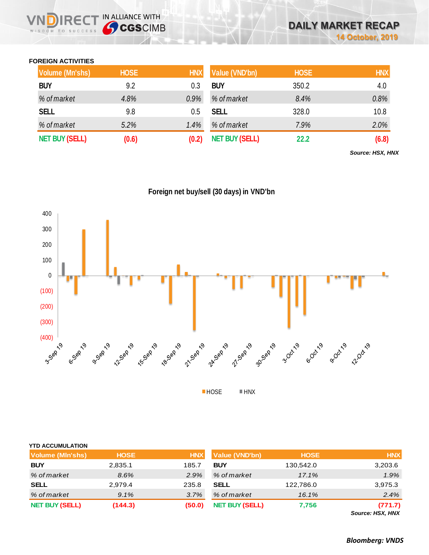## **FOREIGN ACTIVITIES**

WISDOM TO SUCCESS

**REC** 

IN ALLIANCE WITH

| <b>Volume (Mn'shs)</b> | <b>HOSE</b> | <b>HNX</b> | Value (VND'bn)        | <b>HOSE</b> | <b>HNX</b> |
|------------------------|-------------|------------|-----------------------|-------------|------------|
| <b>BUY</b>             | 9.2         | 0.3        | <b>BUY</b>            | 350.2       | 4.0        |
| % of market            | 4.8%        | $0.9\%$    | % of market           | 8.4%        | 0.8%       |
| <b>SELL</b>            | 9.8         | 0.5        | <b>SELL</b>           | 328.0       | 10.8       |
| % of market            | 5.2%        | 1.4%       | % of market           | 7.9%        | 2.0%       |
| <b>NET BUY (SELL)</b>  | (0.6)       | (0.2)      | <b>NET BUY (SELL)</b> | 22.2        | (6.8)      |

*Source: HSX, HNX*





| <b>YTD ACCUMULATION</b> |             |            |                       |             |                                                      |
|-------------------------|-------------|------------|-----------------------|-------------|------------------------------------------------------|
| <b>Volume (MIn'shs)</b> | <b>HOSE</b> | <b>HNX</b> | <b>Value (VND'bn)</b> | <b>HOSE</b> | <b>HNX</b>                                           |
| <b>BUY</b>              | 2,835.1     | 185.7      | <b>BUY</b>            | 130,542.0   | 3,203.6                                              |
| % of market             | 8.6%        | 2.9%       | % of market           | 17.1%       | 1.9%                                                 |
| <b>SELL</b>             | 2,979.4     | 235.8      | <b>SELL</b>           | 122,786.0   | 3,975.3                                              |
| % of market             | $9.1\%$     | 3.7%       | % of market           | 16.1%       | 2.4%                                                 |
| <b>NET BUY (SELL)</b>   | (144.3)     | (50.0)     | <b>NET BUY (SELL)</b> | 7,756       | (771.7)<br>$\sim$ $\sim$ $\sim$ $\sim$ $\sim$ $\sim$ |

*Source: HSX, HNX*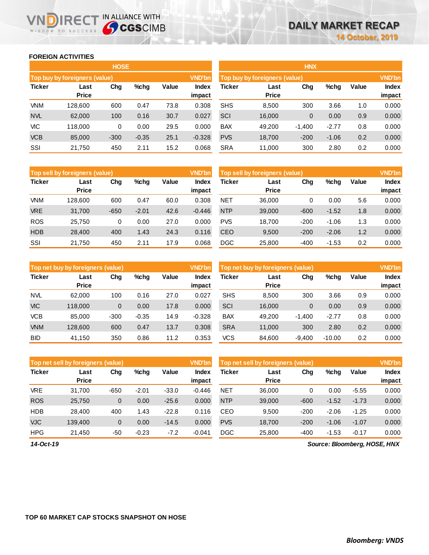### **FOREIGN ACTIVITIES**

WISDOM TO SUCCESS

|               |                               | <b>HOSE</b> |         |       |                        | <b>HNX</b>                    |                      |               |         |       |                        |
|---------------|-------------------------------|-------------|---------|-------|------------------------|-------------------------------|----------------------|---------------|---------|-------|------------------------|
|               | Top buy by foreigners (value) |             |         |       | <b>VND'bn</b>          | Top buy by foreigners (value) |                      | <b>VND'bn</b> |         |       |                        |
| <b>Ticker</b> | Last<br><b>Price</b>          | Chg         | %chg    | Value | <b>Index</b><br>impact | Ticker                        | Last<br><b>Price</b> | Chg           | %chg    | Value | <b>Index</b><br>impact |
| <b>VNM</b>    | 128.600                       | 600         | 0.47    | 73.8  | 0.308                  | <b>SHS</b>                    | 8,500                | 300           | 3.66    | 1.0   | 0.000                  |
| <b>NVL</b>    | 62,000                        | 100         | 0.16    | 30.7  | 0.027                  | SCI                           | 16,000               | $\mathbf{0}$  | 0.00    | 0.9   | 0.000                  |
| <b>VIC</b>    | 118,000                       | 0           | 0.00    | 29.5  | 0.000                  | <b>BAX</b>                    | 49.200               | $-1,400$      | $-2.77$ | 0.8   | 0.000                  |
| <b>VCB</b>    | 85,000                        | $-300$      | $-0.35$ | 25.1  | $-0.328$               | <b>PVS</b>                    | 18,700               | $-200$        | $-1.06$ | 0.2   | 0.000                  |
| SSI           | 21,750                        | 450         | 2.11    | 15.2  | 0.068                  | <b>SRA</b>                    | 11.000               | 300           | 2.80    | 0.2   | 0.000                  |

**IRECT IN ALLIANCE WITH** 

| <b>HNX</b>    |                               |          |         |       |               |  |  |  |  |  |  |  |  |
|---------------|-------------------------------|----------|---------|-------|---------------|--|--|--|--|--|--|--|--|
|               | Top buy by foreigners (value) |          |         |       | <b>VND'bn</b> |  |  |  |  |  |  |  |  |
| <b>Ticker</b> | Last                          | Chq      | $%$ chq | Value | <b>Index</b>  |  |  |  |  |  |  |  |  |
|               | <b>Price</b>                  |          |         |       | impact        |  |  |  |  |  |  |  |  |
| <b>SHS</b>    | 8,500                         | 300      | 3.66    | 1.0   | 0.000         |  |  |  |  |  |  |  |  |
| SCI           | 16,000                        | 0        | 0.00    | 0.9   | 0.000         |  |  |  |  |  |  |  |  |
| <b>BAX</b>    | 49,200                        | $-1,400$ | $-2.77$ | 0.8   | 0.000         |  |  |  |  |  |  |  |  |
| <b>PVS</b>    | 18,700                        | $-200$   | $-1.06$ | 0.2   | 0.000         |  |  |  |  |  |  |  |  |
| <b>SRA</b>    | 11,000                        | 300      | 2.80    | 0.2   | 0.000         |  |  |  |  |  |  |  |  |

|               | Top sell by foreigners (value) |        |         |       | <b>VND'bn</b>   | Top sell by foreigners (value) |                      |        |         |       |                        |
|---------------|--------------------------------|--------|---------|-------|-----------------|--------------------------------|----------------------|--------|---------|-------|------------------------|
| <b>Ticker</b> | Last<br><b>Price</b>           | Chg    | %chg    | Value | Index<br>impact | <b>Ticker</b>                  | Last<br><b>Price</b> | Chg    | $%$ chg | Value | <b>Index</b><br>impact |
| <b>VNM</b>    | 128,600                        | 600    | 0.47    | 60.0  | 0.308           | <b>NET</b>                     | 36,000               |        | 0.00    | 5.6   | 0.000                  |
| <b>VRE</b>    | 31,700                         | $-650$ | $-2.01$ | 42.6  | $-0.446$        | <b>NTP</b>                     | 39,000               | $-600$ | $-1.52$ | 1.8   | 0.000                  |
| <b>ROS</b>    | 25.750                         | 0      | 0.00    | 27.0  | 0.000           | <b>PVS</b>                     | 18.700               | $-200$ | $-1.06$ | 1.3   | 0.000                  |
| <b>HDB</b>    | 28,400                         | 400    | 1.43    | 24.3  | 0.116           | <b>CEO</b>                     | 9,500                | $-200$ | $-2.06$ | 1.2   | 0.000                  |
| SSI           | 21,750                         | 450    | 2.11    | 17.9  | 0.068           | <b>DGC</b>                     | 25,800               | $-400$ | $-1.53$ | 0.2   | 0.000                  |

|               | Top net buy by foreigners (value) |        |         |       | <b>VND'bn</b>   | Top net buy by foreigners (value) |                      |              |          |       | <b>VND'bn</b>          |
|---------------|-----------------------------------|--------|---------|-------|-----------------|-----------------------------------|----------------------|--------------|----------|-------|------------------------|
| <b>Ticker</b> | Last<br><b>Price</b>              | Chg    | $%$ chq | Value | Index<br>impact | Ticker                            | Last<br><b>Price</b> | Chg          | %chg     | Value | <b>Index</b><br>impact |
| <b>NVL</b>    | 62,000                            | 100    | 0.16    | 27.0  | 0.027           | <b>SHS</b>                        | 8.500                | 300          | 3.66     | 0.9   | 0.000                  |
| <b>VIC</b>    | 118.000                           | 0      | 0.00    | 17.8  | 0.000           | SCI                               | 16,000               | $\mathbf{0}$ | 0.00     | 0.9   | 0.000                  |
| <b>VCB</b>    | 85.000                            | $-300$ | $-0.35$ | 14.9  | $-0.328$        | <b>BAX</b>                        | 49.200               | $-1.400$     | $-2.77$  | 0.8   | 0.000                  |
| <b>VNM</b>    | 128.600                           | 600    | 0.47    | 13.7  | 0.308           | <b>SRA</b>                        | 11,000               | 300          | 2.80     | 0.2   | 0.000                  |
| <b>BID</b>    | 41,150                            | 350    | 0.86    | 11.2  | 0.353           | <b>VCS</b>                        | 84,600               | $-9.400$     | $-10.00$ | 0.2   | 0.000                  |

|               | Top net sell by foreigners (value) |        |         |         | <b>VND'bn</b>   | <b>VND'bn</b><br>Top net sell by foreigners (value) |                      |        |         |         |                 |
|---------------|------------------------------------|--------|---------|---------|-----------------|-----------------------------------------------------|----------------------|--------|---------|---------|-----------------|
| <b>Ticker</b> | Last<br><b>Price</b>               | Chg    | %chg    | Value   | Index<br>impact | Ticker                                              | Last<br><b>Price</b> | Chg    | %chg    | Value   | Index<br>impact |
| <b>VRE</b>    | 31.700                             | $-650$ | $-2.01$ | $-33.0$ | $-0.446$        | <b>NET</b>                                          | 36.000               | 0      | 0.00    | $-5.55$ | 0.000           |
| <b>ROS</b>    | 25.750                             | 0      | 0.00    | $-25.6$ | 0.000           | <b>NTP</b>                                          | 39,000               | $-600$ | $-1.52$ | $-1.73$ | 0.000           |
| <b>HDB</b>    | 28,400                             | 400    | 1.43    | $-22.8$ | 0.116           | CEO                                                 | 9.500                | $-200$ | $-2.06$ | $-1.25$ | 0.000           |
| <b>VJC</b>    | 139.400                            | 0      | 0.00    | $-14.5$ | 0.000           | <b>PVS</b>                                          | 18,700               | $-200$ | $-1.06$ | $-1.07$ | 0.000           |
| <b>HPG</b>    | 21,450                             | $-50$  | $-0.23$ | $-7.2$  | $-0.041$        | <b>DGC</b>                                          | 25,800               | $-400$ | $-1.53$ | $-0.17$ | 0.000           |

*14-Oct-19*

*Source: Bloomberg, HOSE, HNX*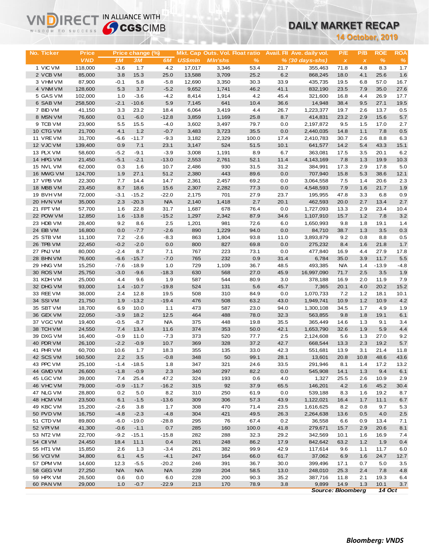# **DAILY MARKET RECAP**

| <b>Sy CGS</b> CIMB<br>WISDOM TO SUCCESS |                    |               |                   |                  |                |                                 | DAILY MARKET RECAP |                         |                            |                           |              |               |                |
|-----------------------------------------|--------------------|---------------|-------------------|------------------|----------------|---------------------------------|--------------------|-------------------------|----------------------------|---------------------------|--------------|---------------|----------------|
|                                         |                    |               |                   |                  |                |                                 |                    | <b>14 October, 2019</b> |                            |                           |              |               |                |
|                                         |                    |               |                   |                  |                |                                 |                    |                         |                            |                           |              |               |                |
| No. Ticker                              | <b>Price</b>       |               | Price change (%)  |                  |                | Mkt. Cap Outs. Vol. Float ratio |                    |                         | Avail. Fil Ave. daily vol. | P/E                       | P/B          | <b>ROE</b>    | <b>ROA</b>     |
|                                         | <b>VND</b>         | 1M            | 3M                | 6M               | <b>US\$mln</b> | <b>MIn'shs</b>                  | $\%$               |                         | $% (30 days-shs)$          | $\boldsymbol{\mathsf{x}}$ | $\pmb{\chi}$ | $\frac{9}{6}$ | $\%$           |
| 1 VIC VM                                | 118,000            | $-3.6$        | 1.7               | 4.2              | 17,017         | 3,346                           | 53.4               | 21.7                    | 355,463                    | 71.8                      | 4.8          | 8.3           | 1.7            |
| 2 VCB VM                                | 85,000             | 3.8           | 15.3              | 25.0             | 13,588         | 3,709                           | 25.2               | 6.2                     | 868,245                    | 18.0                      | 4.1          | 25.6          | 1.6            |
| 3 VHM VM                                | 87,900             | $-0.1$        | 5.8               | $-5.8$           | 12,690         | 3,350                           | 30.3               | 33.9                    | 435,735                    | 19.5                      | 6.8          | 57.0          | 16.7           |
| 4 VNM VM                                | 128,600            | 5.3           | 3.7               | $-5.2$           | 9,652          | 1,741                           | 46.2               | 41.1                    | 832,190<br>321,600         | 23.5                      | 7.9          | 35.0          | 27.6           |
| 5 GAS VM<br>6 SAB VM                    | 102,000<br>258,500 | 1.0<br>$-2.1$ | $-3.6$<br>$-10.6$ | $-4.2$<br>5.9    | 8,414<br>7,145 | 1,914<br>641                    | 4.2<br>10.4        | 45.4<br>36.6            | 14,948                     | 16.8<br>38.4              | 4.4<br>9.5   | 26.9<br>27.1  | 17.7<br>19.5   |
| 7 BID VM                                | 41,150             | 3.3           | 23.2              | 18.4             | 6,064          | 3,419                           | 4.4                | 26.7                    | 1,223,377                  | 19.7                      | 2.6          | 13.7          | 0.5            |
| 8 MSN VM                                | 76,600             | 0.1           | $-6.0$            | $-12.8$          | 3,859          | 1,169                           | 25.8               | 8.7                     | 414,831                    | 23.2                      | 2.9          | 15.6          | 5.7            |
| 9 TCB VM                                | 23,900             | 5.5           | 15.5              | $-4.0$           | 3,602          | 3,497                           | 79.7               | 0.0                     | 2,197,872                  | 9.5                       | 1.5          | 17.0          | 2.7            |
| 10 CTG VM                               | 21,700             | 4.1           | 1.2               | $-0.7$           | 3,483          | 3,723                           | 35.5               | 0.0                     | 2,440,035                  | 14.8                      | 1.1          | 7.8           | 0.5            |
| 11 VREVM                                | 31,700             | $-6.6$        | $-11.7$           | $-9.3$           | 3,182          | 2,329                           | 100.0              | 17.4                    | 2,410,783                  | 30.7                      | 2.6          | 8.8           | 6.3            |
| 12 VJC VM                               | 139,400            | 0.9           | 7.1               | 23.1             | 3,147          | 524                             | 51.5               | 10.1                    | 641,577                    | 14.2                      | 5.4          | 43.3          | 15.1           |
| 13 PLX VM                               | 58,600             | $-5.2$        | $-9.1$            | $-3.9$           | 3,008          | 1,191                           | 8.9                | 6.7                     | 363,081                    | 17.5                      | 3.5          | 20.1          | 6.2            |
| 14 HPG VM                               | 21,450             | $-5.1$        | $-2.1$            | $-13.0$          | 2,553          | 2,761                           | 52.1               | 11.4                    | 4,143,169                  | 7.8                       | 1.3          | 19.9          | 10.3           |
| 15 NVL VM                               | 62,000             | 0.3           | 1.6               | 10.7             | 2,486          | 930                             | 31.5               | 31.2                    | 384,991                    | 17.3                      | 2.9          | 17.8          | 5.0            |
| 16 MWG VM                               | 124,700            | 1.9           | 27.1              | 51.2             | 2,380          | 443                             | 89.6               | 0.0                     | 707,940                    | 15.8                      | 5.3          | 38.6          | 12.1           |
| 17 VPB VM                               | 22,300             | 7.7           | 14.4              | 14.7             | 2,361          | 2,457                           | 69.2               | 0.0                     | 3,064,558                  | 7.5                       | 1.4          | 20.6          | 2.3            |
| 18 MBB VM                               | 23,450             | 8.7           | 18.6              | 15.6             | 2,307          | 2,282                           | 77.3               | 0.0                     | 4,548,593                  | 7.9                       | 1.6          | 21.7          | 1.9            |
| 19 BVH VM                               | 72,000             | $-3.1$        | $-15.2$           | $-22.0$          | 2,175          | 701                             | 27.9               | 23.7                    | 195,955                    | 47.8                      | 3.3          | 6.8           | 0.9            |
| 20 HVN VM                               | 35,000             | 2.3           | $-20.3$           | <b>N/A</b>       | 2,140          | 1,418                           | 2.7                | 20.1                    | 462,593                    | 20.0                      | 2.7          | 13.4          | 2.7            |
| 21 FPT VM<br>22 POW VM                  | 57,700             | 1.6<br>1.6    | 22.8<br>$-13.8$   | 31.7<br>$-15.2$  | 1,687          | 678                             | 76.4<br>87.9       | 0.0                     | 1,727,093                  | 13.3                      | 2.9<br>1.2   | 23.4<br>7.8   | 10.4<br>3.2    |
| 23 HDB VM                               | 12,850<br>28,400   | 9.2           | 8.6               | 2.5              | 1,297<br>1,201 | 2,342<br>981                    | 72.6               | 34.6<br>6.0             | 1,107,910<br>1,650,993     | 15.7<br>9.8               | 1.8          | 19.1          | 1.4            |
| 24 EIB VM                               | 16,800             | 0.0           | $-7.7$            | $-2.6$           | 890            | 1,229                           | 94.0               | 0.0                     | 84,710                     | 38.7                      | 1.3          | 3.5           | 0.3            |
| 25 STB VM                               | 11,100             | 7.2           | $-2.6$            | $-8.3$           | 863            | 1,804                           | 93.8               | 11.0                    | 3,893,879                  | 9.2                       | 0.8          | 8.8           | 0.5            |
| 26 TPB VM                               | 22,450             | $-0.2$        | $-2.0$            | 0.0              | 800            | 827                             | 69.8               | 0.0                     | 275,232                    | 8.4                       | 1.6          | 21.8          | 1.7            |
| 27 PNJ VM                               | 80,000             | $-2.4$        | 8.7               | 7.1              | 767            | 223                             | 73.1               | 0.0                     | 477,840                    | 16.9                      | 4.4          | 27.9          | 17.8           |
| 28 BHN VM                               | 76,600             | $-6.6$        | $-15.7$           | $-7.0$           | 765            | 232                             | 0.9                | 31.4                    | 6,784                      | 35.0                      | 3.9          | 11.7          | 5.5            |
| 29 HNG VM                               | 15,250             | $-7.6$        | $-18.9$           | 1.0              | 729            | 1,109                           | 36.7               | 48.5                    | 493,385                    | <b>N/A</b>                | 1.4          | $-13.9$       | $-4.8$         |
| 30 ROS VM                               | 25,750             | $-3.0$        | $-9.6$            | $-18.3$          | 630            | 568                             | 27.0               | 45.9                    | 16,997,090                 | 71.7                      | 2.5          | 3.5           | 1.9            |
| 31 KDH VM                               | 25,000             | 4.4           | 9.6               | 1.9              | 587            | 544                             | 80.9               | 3.0                     | 378,188                    | 16.9                      | 2.0          | 11.9          | 7.9            |
| 32 DHG VM                               | 93,000             | 1.4           | $-10.7$           | $-19.8$          | 524            | 131                             | 5.6                | 45.7                    | 7,365                      | 20.1                      | 4.0          | 20.2          | 15.2           |
| 33 REE VM                               | 38,000             | 2.4           | 12.8              | 19.5             | 508            | 310                             | 84.9               | 0.0                     | 1,070,733                  | 7.2                       | $1.2$        | 18.1          | 10.1           |
| 34 SSIVM                                | 21,750             | 1.9           | $-13.2$           | $-19.4$          | 476            | 508                             | 63.2               | 43.0                    | 1,949,741                  | 10.9                      | 1.2          | 10.9          | 4.2            |
| 35 SBT VM                               | 18,700             | 6.9           | 10.0              | 1.1              | 473            | 587                             | 23.0               | 94.0                    | 1,300,108                  | 34.5                      | 1.7          | 4.9           | 1.9            |
| 36 GEX VM                               | 22,050             | $-3.9$        | 18.2              | 12.5             | 464            | 488                             | 78.0               | 32.3                    | 563,855                    | 9.8                       | 1.8          | 19.1          | 6.1            |
| 37 VGC VM                               | 19,400             | $-0.5$        | $-8.7$            | <b>N/A</b>       | 375            | 448                             | 19.8               | 35.5                    | 365,449                    | 14.6                      | 1.3          | 9.1           | 3.4            |
| 38 TCH VM                               | 24,550             | 7.4<br>$-0.9$ | 13.4<br>11.0      | 11.6             | 374<br>373     | 353<br>520                      | 50.0               | 42.1                    | 1,653,790                  | 32.6<br>5.6               | 1.9<br>1.3   | 5.9<br>27.0   | 4.4            |
| 39 DXG VM<br>40 PDR VM                  | 16,400<br>26,100   | $-2.2$        | $-0.9$            | $-7.3$<br>10.7   | 369            | 328                             | 77.7<br>37.2       | 2.5<br>42.7             | 2,124,608<br>668,544       | 13.3                      | 2.3          | 19.2          | 9.2<br>$5.7\,$ |
| 41 PHR VM                               | 60,700             | 10.6          | 1.7               | 18.3             | 355            | 135                             | 33.0               | 42.3                    | 551,681                    | 13.9                      | 3.1          | 21.4          | 11.8           |
| 42 SCS VM                               | 160,500            | 2.2           | 3.5               | $-0.8$           | 348            | 50                              | 99.1               | 28.1                    | 13,601                     | 20.8                      | 10.8         | 48.6          | 43.6           |
| 43 PPC VM                               | 25,100             | $-1.4$        | $-18.5$           | 1.8              | 347            | 321                             | 24.6               | 33.5                    | 291,946                    | 8.1                       | 1.4          | 17.2          | 13.2           |
| 44 GMD VM                               | 26,600             | $-1.8$        | $-0.9$            | 2.3              | 340            | 297                             | 82.2               | 0.0                     | 545,908                    | 14.1                      | 1.3          | 9.4           | 6.1            |
| 45 LGC VM                               | 39,000             | 7.4           | 25.4              | 47.2             | 324            | 193                             | 0.6                | 4.0                     | 1,327                      | 25.5                      | 2.6          | 10.9          | 2.9            |
| 46 VHC VM                               | 79,000             | $-0.9$        | $-11.7$           | $-16.2$          | 315            | 92                              | 37.9               | 65.5                    | 146,201                    | 4.2                       | 1.6          | 45.2          | 30.4           |
| 47 NLG VM                               | 28,800             | 0.2           | 5.0               | 8.2              | 310            | 250                             | 61.9               | 0.0                     | 539,188                    | 8.3                       | 1.6          | 19.2          | 8.7            |
| 48 HCM VM                               | 23,500             | 6.1           | $-1.5$            | $-13.6$          | 309            | 306                             | 57.3               | 43.9                    | 1,122,021                  | 16.4                      | 1.7          | 11.1          | 6.7            |
| 49 KBC VM                               | 15,200             | $-2.6$        | 3.8               | 1.7              | 308            | 470                             | 71.4               | 23.5                    | 1,616,625                  | 8.2                       | 0.8          | 9.7           | 5.3            |
| 50 PVD VM                               | 16,750             | $-4.8$        | $-2.3$            | $-4.8$           | 304            | 421                             | 49.5               | 26.3                    | 2,264,638                  | 13.6                      | 0.5          | 4.0           | $2.5\,$        |
| 51 CTD VM                               | 89,800             | $-6.0$        | $-19.0$           | $-28.8$          | 295            | 76                              | 67.4               | 0.2                     | 36,558                     | 6.6                       | 0.9          | 13.4          | 7.1            |
| 52 VPI VM                               | 41,300             | $-0.6$        | $-1.1$            | 0.7              | 285            | 160                             | 100.0              | 41.8                    | 279,671                    | 15.7                      | 2.9          | 20.6          | 8.1            |
| 53 NT2 VM                               | 22,700             | $-9.2$        | $-15.1$           | $-15.8$          | 282            | 288                             | 32.3               | 29.2                    | 342,569                    | 10.1                      | 1.6          | 16.9          | 7.4            |
| 54 CII VM                               | 24,450             | 18.4          | 11.1              | 0.4              | 261            | 248                             | 86.2               | 17.9                    | 842,642                    | 63.2                      | 1.2          | 1.9           | 0.4            |
| 55 HT1 VM<br>56 VCIVM                   | 15,850<br>34,800   | 2.6<br>6.1    | 1.3<br>4.5        | $-3.4$<br>$-4.1$ | 261<br>247     | 382<br>164                      | 99.9<br>66.0       | 42.9<br>61.7            | 117,614<br>37,062          | 9.6<br>6.9                | 1.1<br>1.6   | 11.7<br>24.7  | 6.0<br>12.7    |
| 57 DPM VM                               | 14,600             | 12.3          | $-5.5$            | $-20.2$          | 246            | 391                             | 36.7               | 30.0                    | 399,496                    | 17.1                      | 0.7          | 5.0           | $3.5\,$        |
| 58 GEG VM                               | 27,250             | <b>N/A</b>    | <b>N/A</b>        | <b>N/A</b>       | 239            | 204                             | 58.5               | 13.0                    | 248,010                    | 25.3                      | 2.4          | 7.8           | 4.8            |
| 59 HPX VM                               | 26,500             | 0.6           | 0.0               | 6.0              | 228            | 200                             | 90.3               | 35.2                    | 387,716                    | 11.8                      | 2.1          | 19.3          | 6.4            |
| 60 PAN VM                               | 29,000             | 1.0           | $-0.7$            | $-22.9$          | 213            | 170                             | 78.9               | 3.8                     | 9,899                      | 14.9                      | 1.3          | 10.1          | 3.7            |
|                                         |                    |               |                   |                  |                |                                 |                    |                         |                            | <b>Source: Bloomberg</b>  |              | <b>14 Oct</b> |                |

**VNDIRECT IN ALLIANCE WITH**